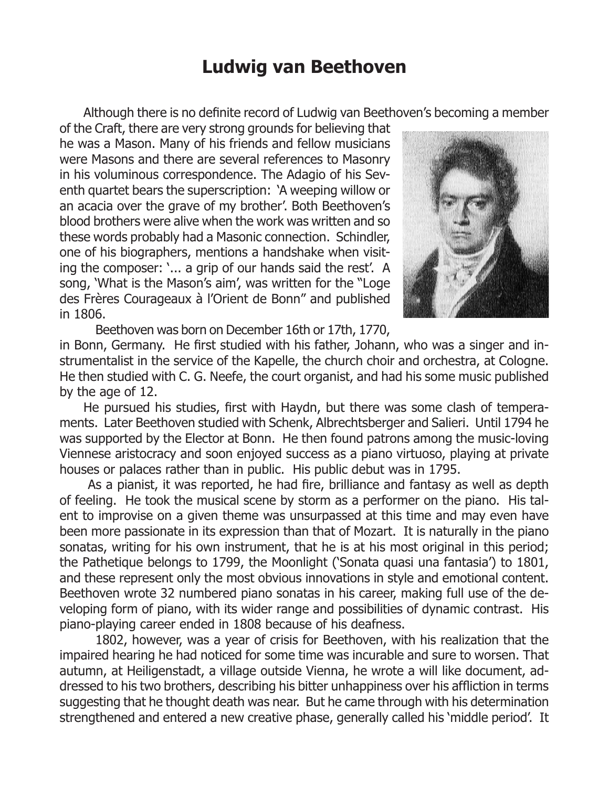## **Ludwig van Beethoven**

Although there is no definite record of Ludwig van Beethoven's becoming a member

of the Craft, there are very strong grounds for believing that he was a Mason. Many of his friends and fellow musicians were Masons and there are several references to Masonry in his voluminous correspondence. The Adagio of his Seventh quartet bears the superscription: 'A weeping willow or an acacia over the grave of my brother'. Both Beethoven's blood brothers were alive when the work was written and so these words probably had a Masonic connection. Schindler, one of his biographers, mentions a handshake when visiting the composer: '... a grip of our hands said the rest'. A song, 'What is the Mason's aim', was written for the "Loge des Frères Courageaux à l'Orient de Bonn" and published in 1806.



Beethoven was born on December 16th or 17th, 1770,

in Bonn, Germany. He first studied with his father, Johann, who was a singer and instrumentalist in the service of the Kapelle, the church choir and orchestra, at Cologne. He then studied with C. G. Neefe, the court organist, and had his some music published by the age of 12.

He pursued his studies, first with Haydn, but there was some clash of temperaments. Later Beethoven studied with Schenk, Albrechtsberger and Salieri. Until 1794 he was supported by the Elector at Bonn. He then found patrons among the music-loving Viennese aristocracy and soon enjoyed success as a piano virtuoso, playing at private houses or palaces rather than in public. His public debut was in 1795.

 As a pianist, it was reported, he had fire, brilliance and fantasy as well as depth of feeling. He took the musical scene by storm as a performer on the piano. His talent to improvise on a given theme was unsurpassed at this time and may even have been more passionate in its expression than that of Mozart. It is naturally in the piano sonatas, writing for his own instrument, that he is at his most original in this period; the Pathetique belongs to 1799, the Moonlight ('Sonata quasi una fantasia') to 1801, and these represent only the most obvious innovations in style and emotional content. Beethoven wrote 32 numbered piano sonatas in his career, making full use of the developing form of piano, with its wider range and possibilities of dynamic contrast. His piano-playing career ended in 1808 because of his deafness.

1802, however, was a year of crisis for Beethoven, with his realization that the impaired hearing he had noticed for some time was incurable and sure to worsen. That autumn, at Heiligenstadt, a village outside Vienna, he wrote a will like document, addressed to his two brothers, describing his bitter unhappiness over his affliction in terms suggesting that he thought death was near. But he came through with his determination strengthened and entered a new creative phase, generally called his 'middle period'. It